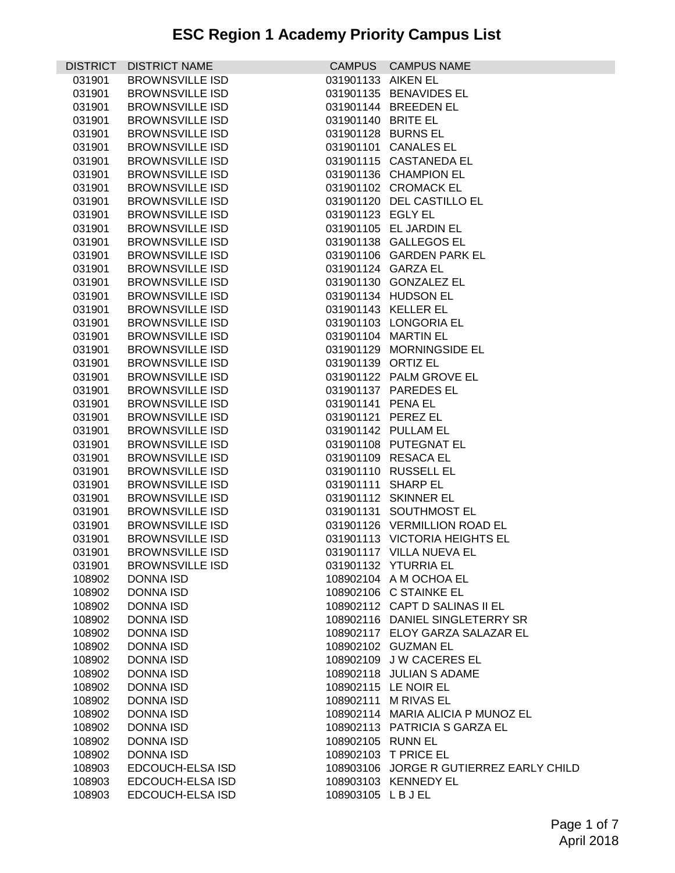| <b>DISTRICT</b> | <b>DISTRICT NAME</b>   |                    | CAMPUS CAMPUS NAME                      |
|-----------------|------------------------|--------------------|-----------------------------------------|
| 031901          | <b>BROWNSVILLE ISD</b> | 031901133 AIKEN EL |                                         |
| 031901          | <b>BROWNSVILLE ISD</b> |                    | 031901135 BENAVIDES EL                  |
| 031901          | <b>BROWNSVILLE ISD</b> |                    | 031901144 BREEDEN EL                    |
| 031901          | <b>BROWNSVILLE ISD</b> | 031901140 BRITE EL |                                         |
| 031901          | <b>BROWNSVILLE ISD</b> | 031901128 BURNS EL |                                         |
| 031901          | <b>BROWNSVILLE ISD</b> |                    | 031901101 CANALES EL                    |
| 031901          | <b>BROWNSVILLE ISD</b> |                    | 031901115 CASTANEDA EL                  |
| 031901          | <b>BROWNSVILLE ISD</b> |                    | 031901136 CHAMPION EL                   |
| 031901          | <b>BROWNSVILLE ISD</b> |                    | 031901102 CROMACK EL                    |
| 031901          | <b>BROWNSVILLE ISD</b> |                    | 031901120 DEL CASTILLO EL               |
| 031901          | <b>BROWNSVILLE ISD</b> | 031901123 EGLY EL  |                                         |
| 031901          | <b>BROWNSVILLE ISD</b> |                    | 031901105 EL JARDIN EL                  |
| 031901          | <b>BROWNSVILLE ISD</b> |                    | 031901138 GALLEGOS EL                   |
| 031901          | <b>BROWNSVILLE ISD</b> |                    | 031901106 GARDEN PARK EL                |
| 031901          | <b>BROWNSVILLE ISD</b> | 031901124 GARZA EL |                                         |
| 031901          | <b>BROWNSVILLE ISD</b> |                    | 031901130 GONZALEZ EL                   |
| 031901          | <b>BROWNSVILLE ISD</b> |                    | 031901134 HUDSON EL                     |
| 031901          | <b>BROWNSVILLE ISD</b> |                    | 031901143 KELLER EL                     |
| 031901          | <b>BROWNSVILLE ISD</b> |                    | 031901103 LONGORIA EL                   |
| 031901          | <b>BROWNSVILLE ISD</b> |                    | 031901104 MARTIN EL                     |
| 031901          | <b>BROWNSVILLE ISD</b> |                    | 031901129 MORNINGSIDE EL                |
| 031901          | <b>BROWNSVILLE ISD</b> | 031901139 ORTIZ EL |                                         |
| 031901          | <b>BROWNSVILLE ISD</b> |                    | 031901122 PALM GROVE EL                 |
| 031901          | <b>BROWNSVILLE ISD</b> |                    | 031901137 PAREDES EL                    |
| 031901          | <b>BROWNSVILLE ISD</b> | 031901141 PENA EL  |                                         |
| 031901          | <b>BROWNSVILLE ISD</b> | 031901121 PEREZ EL |                                         |
| 031901          | <b>BROWNSVILLE ISD</b> |                    | 031901142 PULLAM EL                     |
| 031901          | <b>BROWNSVILLE ISD</b> |                    | 031901108 PUTEGNAT EL                   |
| 031901          | <b>BROWNSVILLE ISD</b> |                    | 031901109 RESACA EL                     |
| 031901          | <b>BROWNSVILLE ISD</b> |                    | 031901110 RUSSELL EL                    |
| 031901          | <b>BROWNSVILLE ISD</b> | 031901111 SHARP EL |                                         |
| 031901          | <b>BROWNSVILLE ISD</b> |                    | 031901112 SKINNER EL                    |
| 031901          | <b>BROWNSVILLE ISD</b> |                    | 031901131 SOUTHMOST EL                  |
| 031901          | <b>BROWNSVILLE ISD</b> |                    | 031901126 VERMILLION ROAD EL            |
| 031901          | <b>BROWNSVILLE ISD</b> |                    | 031901113 VICTORIA HEIGHTS EL           |
| 031901          | <b>BROWNSVILLE ISD</b> |                    | 031901117 VILLA NUEVA EL                |
| 031901          | <b>BROWNSVILLE ISD</b> |                    | 031901132 YTURRIA EL                    |
| 108902          | <b>DONNA ISD</b>       |                    | 108902104 A M OCHOA EL                  |
| 108902          | <b>DONNA ISD</b>       |                    | 108902106 C STAINKE EL                  |
| 108902          | <b>DONNA ISD</b>       |                    | 108902112 CAPT D SALINAS II EL          |
| 108902          | <b>DONNA ISD</b>       |                    | 108902116 DANIEL SINGLETERRY SR         |
| 108902          | <b>DONNA ISD</b>       |                    | 108902117 ELOY GARZA SALAZAR EL         |
| 108902          | <b>DONNA ISD</b>       |                    | 108902102 GUZMAN EL                     |
| 108902          | <b>DONNA ISD</b>       |                    | 108902109 J W CACERES EL                |
| 108902          | <b>DONNA ISD</b>       |                    | 108902118 JULIAN S ADAME                |
| 108902          | <b>DONNA ISD</b>       |                    | 108902115 LE NOIR EL                    |
| 108902          | <b>DONNA ISD</b>       |                    | 108902111 M RIVAS EL                    |
| 108902          | <b>DONNA ISD</b>       |                    | 108902114 MARIA ALICIA P MUNOZ EL       |
| 108902          | <b>DONNA ISD</b>       |                    | 108902113 PATRICIA S GARZA EL           |
| 108902          | <b>DONNA ISD</b>       | 108902105 RUNN EL  |                                         |
| 108902          | <b>DONNA ISD</b>       |                    | 108902103 T PRICE EL                    |
| 108903          | EDCOUCH-ELSA ISD       |                    | 108903106 JORGE R GUTIERREZ EARLY CHILD |
| 108903          | EDCOUCH-ELSA ISD       |                    | 108903103 KENNEDY EL                    |
| 108903          | EDCOUCH-ELSA ISD       | 108903105 LBJEL    |                                         |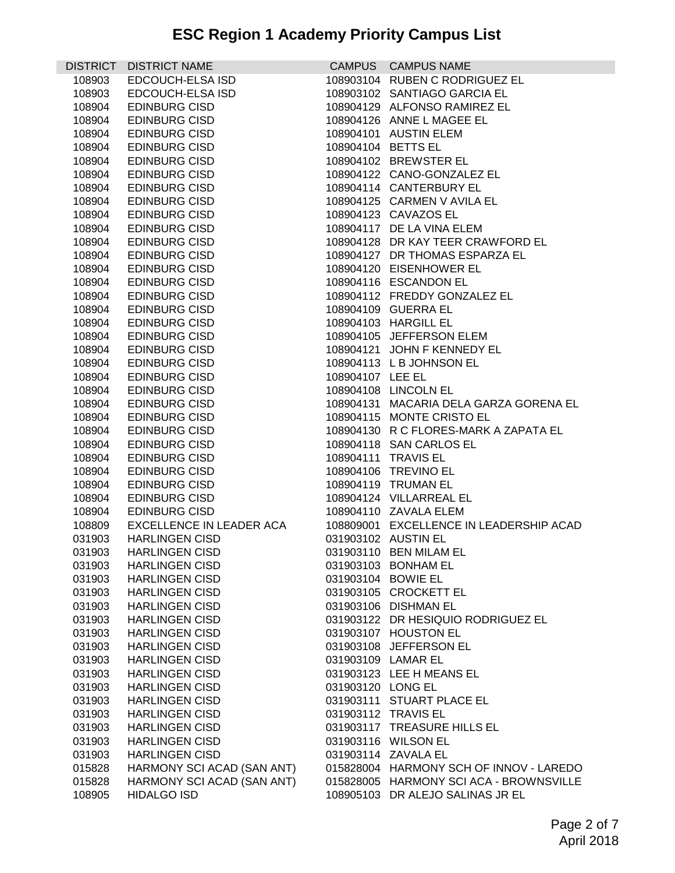| <b>DISTRICT</b> | <b>DISTRICT NAME</b>                         |                   | CAMPUS CAMPUS NAME                      |
|-----------------|----------------------------------------------|-------------------|-----------------------------------------|
| 108903          | EDCOUCH-ELSA ISD                             |                   | 108903104 RUBEN C RODRIGUEZ EL          |
| 108903          | EDCOUCH-ELSA ISD                             |                   | 108903102 SANTIAGO GARCIA EL            |
| 108904          | <b>EDINBURG CISD</b>                         |                   | 108904129 ALFONSO RAMIREZ EL            |
| 108904          | <b>EDINBURG CISD</b>                         |                   | 108904126 ANNE L MAGEE EL               |
| 108904          | <b>EDINBURG CISD</b>                         |                   | 108904101 AUSTIN ELEM                   |
| 108904          | <b>EDINBURG CISD</b>                         |                   | 108904104 BETTS EL                      |
| 108904          | <b>EDINBURG CISD</b>                         |                   | 108904102 BREWSTER EL                   |
| 108904          | <b>EDINBURG CISD</b>                         |                   | 108904122 CANO-GONZALEZ EL              |
| 108904          | <b>EDINBURG CISD</b>                         |                   | 108904114 CANTERBURY EL                 |
| 108904          | <b>EDINBURG CISD</b>                         |                   | 108904125 CARMEN V AVILA EL             |
| 108904          | <b>EDINBURG CISD</b>                         |                   | 108904123 CAVAZOS EL                    |
| 108904          | <b>EDINBURG CISD</b>                         |                   | 108904117 DE LA VINA ELEM               |
| 108904          | <b>EDINBURG CISD</b>                         |                   | 108904128 DR KAY TEER CRAWFORD EL       |
| 108904          | <b>EDINBURG CISD</b>                         |                   | 108904127 DR THOMAS ESPARZA EL          |
| 108904          | <b>EDINBURG CISD</b>                         |                   | 108904120 EISENHOWER EL                 |
| 108904          | <b>EDINBURG CISD</b>                         |                   | 108904116 ESCANDON EL                   |
| 108904          | <b>EDINBURG CISD</b>                         |                   | 108904112 FREDDY GONZALEZ EL            |
| 108904          | <b>EDINBURG CISD</b>                         |                   | 108904109 GUERRA EL                     |
| 108904          | <b>EDINBURG CISD</b>                         |                   | 108904103 HARGILL EL                    |
|                 |                                              |                   | 108904105 JEFFERSON ELEM                |
| 108904          | <b>EDINBURG CISD</b><br><b>EDINBURG CISD</b> |                   | 108904121 JOHN F KENNEDY EL             |
| 108904          |                                              |                   |                                         |
| 108904          | <b>EDINBURG CISD</b>                         |                   | 108904113 L B JOHNSON EL                |
| 108904          | <b>EDINBURG CISD</b>                         | 108904107 LEE EL  |                                         |
| 108904          | <b>EDINBURG CISD</b>                         |                   | 108904108 LINCOLN EL                    |
| 108904          | <b>EDINBURG CISD</b>                         |                   | 108904131 MACARIA DELA GARZA GORENA EL  |
| 108904          | <b>EDINBURG CISD</b>                         |                   | 108904115 MONTE CRISTO EL               |
| 108904          | <b>EDINBURG CISD</b>                         |                   | 108904130 R C FLORES-MARK A ZAPATA EL   |
| 108904          | <b>EDINBURG CISD</b>                         |                   | 108904118 SAN CARLOS EL                 |
| 108904          | <b>EDINBURG CISD</b>                         |                   | 108904111 TRAVIS EL                     |
| 108904          | <b>EDINBURG CISD</b>                         |                   | 108904106 TREVINO EL                    |
| 108904          | <b>EDINBURG CISD</b>                         |                   | 108904119 TRUMAN EL                     |
| 108904          | <b>EDINBURG CISD</b>                         |                   | 108904124 VILLARREAL EL                 |
| 108904          | <b>EDINBURG CISD</b>                         |                   | 108904110 ZAVALA ELEM                   |
| 108809          | EXCELLENCE IN LEADER ACA                     |                   | 108809001 EXCELLENCE IN LEADERSHIP ACAD |
| 031903          | <b>HARLINGEN CISD</b>                        |                   | 031903102 AUSTIN EL                     |
|                 | 031903 HARLINGEN CISD                        |                   | 031903110 BEN MILAM EL                  |
| 031903          | <b>HARLINGEN CISD</b>                        |                   | 031903103 BONHAM EL                     |
| 031903          | <b>HARLINGEN CISD</b>                        |                   | 031903104 BOWIE EL                      |
| 031903          | <b>HARLINGEN CISD</b>                        |                   | 031903105 CROCKETT EL                   |
| 031903          | <b>HARLINGEN CISD</b>                        |                   | 031903106 DISHMAN EL                    |
| 031903          | <b>HARLINGEN CISD</b>                        |                   | 031903122 DR HESIQUIO RODRIGUEZ EL      |
| 031903          | <b>HARLINGEN CISD</b>                        |                   | 031903107 HOUSTON EL                    |
| 031903          | <b>HARLINGEN CISD</b>                        |                   | 031903108 JEFFERSON EL                  |
| 031903          | <b>HARLINGEN CISD</b>                        |                   | 031903109 LAMAR EL                      |
| 031903          | <b>HARLINGEN CISD</b>                        |                   | 031903123 LEE H MEANS EL                |
| 031903          | <b>HARLINGEN CISD</b>                        | 031903120 LONG EL |                                         |
| 031903          | <b>HARLINGEN CISD</b>                        |                   | 031903111 STUART PLACE EL               |
| 031903          | <b>HARLINGEN CISD</b>                        |                   | 031903112 TRAVIS EL                     |
| 031903          | <b>HARLINGEN CISD</b>                        |                   | 031903117 TREASURE HILLS EL             |
| 031903          | <b>HARLINGEN CISD</b>                        |                   | 031903116 WILSON EL                     |
| 031903          | <b>HARLINGEN CISD</b>                        |                   | 031903114 ZAVALA EL                     |
| 015828          | HARMONY SCI ACAD (SAN ANT)                   |                   | 015828004 HARMONY SCH OF INNOV - LAREDO |
| 015828          | HARMONY SCI ACAD (SAN ANT)                   |                   | 015828005 HARMONY SCI ACA - BROWNSVILLE |
| 108905          | <b>HIDALGO ISD</b>                           |                   | 108905103 DR ALEJO SALINAS JR EL        |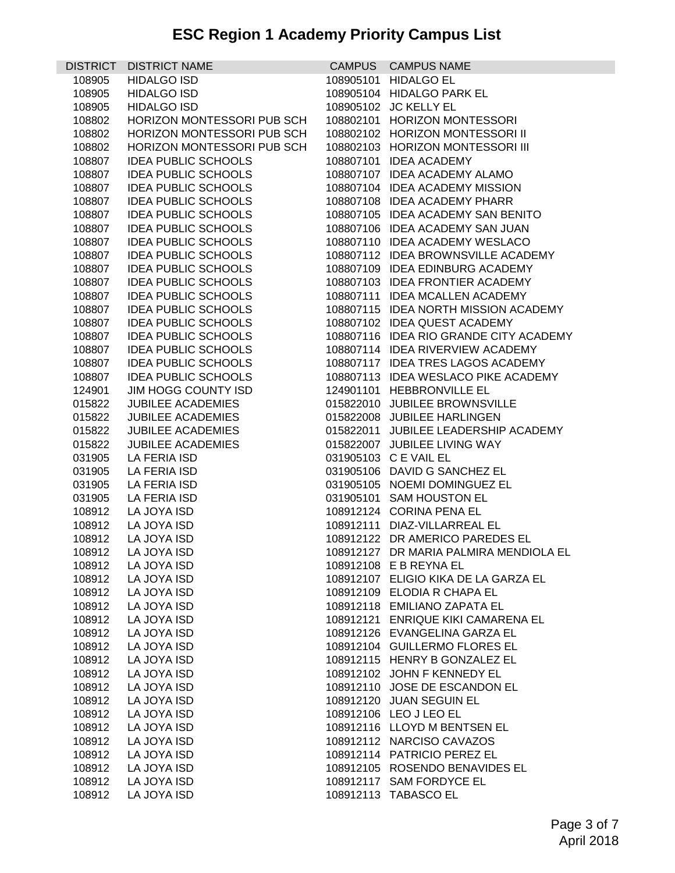| <b>DISTRICT</b> | <b>DISTRICT NAME</b>       | CAMPUS CAMPUS NAME                     |
|-----------------|----------------------------|----------------------------------------|
| 108905          | <b>HIDALGO ISD</b>         | 108905101 HIDALGO EL                   |
| 108905          | <b>HIDALGO ISD</b>         | 108905104 HIDALGO PARK EL              |
| 108905          | <b>HIDALGO ISD</b>         | 108905102 JC KELLY EL                  |
| 108802          | HORIZON MONTESSORI PUB SCH | 108802101 HORIZON MONTESSORI           |
| 108802          | HORIZON MONTESSORI PUB SCH | 108802102 HORIZON MONTESSORI II        |
| 108802          | HORIZON MONTESSORI PUB SCH | 108802103 HORIZON MONTESSORI III       |
| 108807          | <b>IDEA PUBLIC SCHOOLS</b> | 108807101 IDEA ACADEMY                 |
| 108807          | <b>IDEA PUBLIC SCHOOLS</b> | 108807107 IDEA ACADEMY ALAMO           |
| 108807          | <b>IDEA PUBLIC SCHOOLS</b> | 108807104 IDEA ACADEMY MISSION         |
| 108807          | <b>IDEA PUBLIC SCHOOLS</b> | 108807108 IDEA ACADEMY PHARR           |
| 108807          | <b>IDEA PUBLIC SCHOOLS</b> | 108807105 IDEA ACADEMY SAN BENITO      |
| 108807          | <b>IDEA PUBLIC SCHOOLS</b> | 108807106 IDEA ACADEMY SAN JUAN        |
| 108807          | <b>IDEA PUBLIC SCHOOLS</b> | 108807110 IDEA ACADEMY WESLACO         |
| 108807          | <b>IDEA PUBLIC SCHOOLS</b> | 108807112 IDEA BROWNSVILLE ACADEMY     |
| 108807          | <b>IDEA PUBLIC SCHOOLS</b> | 108807109 IDEA EDINBURG ACADEMY        |
| 108807          | <b>IDEA PUBLIC SCHOOLS</b> | 108807103 IDEA FRONTIER ACADEMY        |
|                 | <b>IDEA PUBLIC SCHOOLS</b> | 108807111 IDEA MCALLEN ACADEMY         |
| 108807          |                            |                                        |
| 108807          | <b>IDEA PUBLIC SCHOOLS</b> | 108807115 IDEA NORTH MISSION ACADEMY   |
| 108807          | <b>IDEA PUBLIC SCHOOLS</b> | 108807102 IDEA QUEST ACADEMY           |
| 108807          | <b>IDEA PUBLIC SCHOOLS</b> | 108807116 IDEA RIO GRANDE CITY ACADEMY |
| 108807          | <b>IDEA PUBLIC SCHOOLS</b> | 108807114 IDEA RIVERVIEW ACADEMY       |
| 108807          | <b>IDEA PUBLIC SCHOOLS</b> | 108807117 IDEA TRES LAGOS ACADEMY      |
| 108807          | <b>IDEA PUBLIC SCHOOLS</b> | 108807113 IDEA WESLACO PIKE ACADEMY    |
| 124901          | JIM HOGG COUNTY ISD        | 124901101 HEBBRONVILLE EL              |
| 015822          | <b>JUBILEE ACADEMIES</b>   | 015822010 JUBILEE BROWNSVILLE          |
| 015822          | <b>JUBILEE ACADEMIES</b>   | 015822008 JUBILEE HARLINGEN            |
| 015822          | <b>JUBILEE ACADEMIES</b>   | 015822011 JUBILEE LEADERSHIP ACADEMY   |
| 015822          | <b>JUBILEE ACADEMIES</b>   | 015822007 JUBILEE LIVING WAY           |
| 031905          | LA FERIA ISD               | 031905103 C E VAIL EL                  |
| 031905          | LA FERIA ISD               | 031905106 DAVID G SANCHEZ EL           |
| 031905          | LA FERIA ISD               | 031905105 NOEMI DOMINGUEZ EL           |
| 031905          | LA FERIA ISD               | 031905101 SAM HOUSTON EL               |
| 108912          | LA JOYA ISD                | 108912124 CORINA PENA EL               |
| 108912          | LA JOYA ISD                | 108912111 DIAZ-VILLARREAL EL           |
| 108912          | LA JOYA ISD                | 108912122 DR AMERICO PAREDES EL        |
| 108912          | LA JOYA ISD                | 108912127 DR MARIA PALMIRA MENDIOLA EL |
| 108912          | LA JOYA ISD                | 108912108 E B REYNA EL                 |
| 108912          | LA JOYA ISD                | 108912107 ELIGIO KIKA DE LA GARZA EL   |
| 108912          | LA JOYA ISD                | 108912109 ELODIA R CHAPA EL            |
| 108912          | LA JOYA ISD                | 108912118 EMILIANO ZAPATA EL           |
| 108912          | LA JOYA ISD                | 108912121 ENRIQUE KIKI CAMARENA EL     |
| 108912          | LA JOYA ISD                | 108912126 EVANGELINA GARZA EL          |
| 108912          | LA JOYA ISD                | 108912104 GUILLERMO FLORES EL          |
| 108912          | LA JOYA ISD                | 108912115 HENRY B GONZALEZ EL          |
| 108912          | LA JOYA ISD                | 108912102 JOHN F KENNEDY EL            |
| 108912          | LA JOYA ISD                | 108912110 JOSE DE ESCANDON EL          |
| 108912          | LA JOYA ISD                | 108912120 JUAN SEGUIN EL               |
| 108912          | LA JOYA ISD                | 108912106 LEO J LEO EL                 |
| 108912          | LA JOYA ISD                | 108912116 LLOYD M BENTSEN EL           |
| 108912          | LA JOYA ISD                | 108912112 NARCISO CAVAZOS              |
| 108912          | LA JOYA ISD                | 108912114 PATRICIO PEREZ EL            |
| 108912          | LA JOYA ISD                | 108912105 ROSENDO BENAVIDES EL         |
| 108912          | LA JOYA ISD                | 108912117 SAM FORDYCE EL               |
| 108912          | LA JOYA ISD                | 108912113 TABASCO EL                   |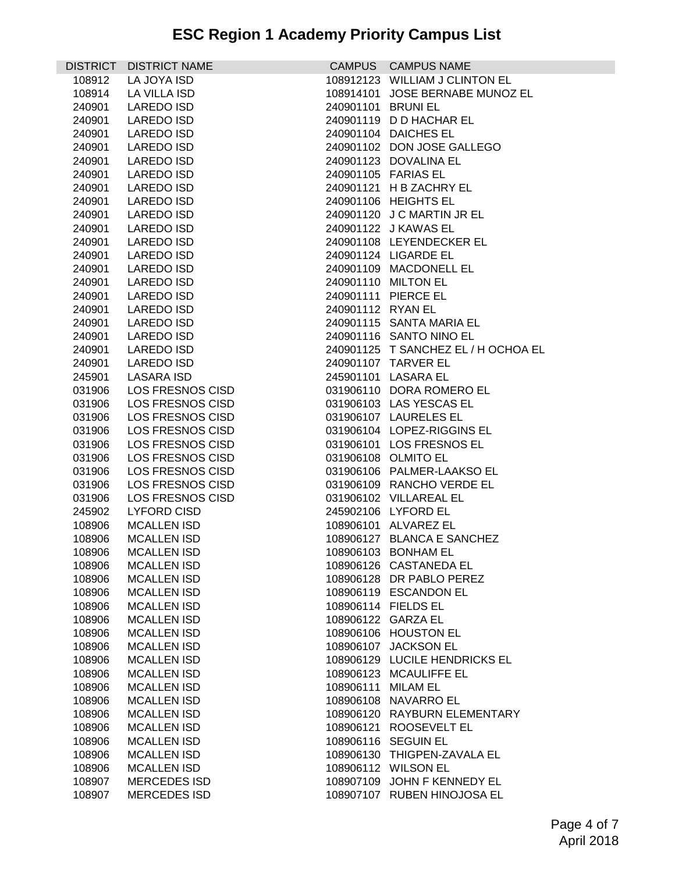|        | DISTRICT DISTRICT NAME  |                    | CAMPUS CAMPUS NAME                  |
|--------|-------------------------|--------------------|-------------------------------------|
| 108912 | LA JOYA ISD             |                    | 108912123 WILLIAM J CLINTON EL      |
| 108914 | LA VILLA ISD            |                    | 108914101 JOSE BERNABE MUNOZ EL     |
| 240901 | <b>LAREDO ISD</b>       | 240901101 BRUNI EL |                                     |
| 240901 | <b>LAREDO ISD</b>       |                    | 240901119 D D HACHAR EL             |
| 240901 | <b>LAREDO ISD</b>       |                    | 240901104 DAICHES EL                |
| 240901 | <b>LAREDO ISD</b>       |                    | 240901102 DON JOSE GALLEGO          |
| 240901 | LAREDO ISD              |                    | 240901123 DOVALINA EL               |
| 240901 | <b>LAREDO ISD</b>       |                    | 240901105 FARIAS EL                 |
| 240901 | LAREDO ISD              |                    | 240901121 H B ZACHRY EL             |
| 240901 | LAREDO ISD              |                    | 240901106 HEIGHTS EL                |
| 240901 | LAREDO ISD              |                    | 240901120 J C MARTIN JR EL          |
| 240901 | <b>LAREDO ISD</b>       |                    | 240901122 J KAWAS EL                |
| 240901 | LAREDO ISD              |                    | 240901108 LEYENDECKER EL            |
| 240901 | <b>LAREDO ISD</b>       |                    | 240901124 LIGARDE EL                |
| 240901 | LAREDO ISD              |                    | 240901109 MACDONELL EL              |
|        | <b>LAREDO ISD</b>       |                    | 240901110 MILTON EL                 |
| 240901 | <b>LAREDO ISD</b>       |                    | 240901111 PIERCE EL                 |
| 240901 |                         |                    |                                     |
| 240901 | LAREDO ISD              | 240901112 RYAN EL  |                                     |
| 240901 | LAREDO ISD              |                    | 240901115 SANTA MARIA EL            |
| 240901 | <b>LAREDO ISD</b>       |                    | 240901116 SANTO NINO EL             |
| 240901 | LAREDO ISD              |                    | 240901125 T SANCHEZ EL / H OCHOA EL |
| 240901 | LAREDO ISD              |                    | 240901107 TARVER EL                 |
| 245901 | LASARA ISD              |                    | 245901101 LASARA EL                 |
| 031906 | LOS FRESNOS CISD        |                    | 031906110 DORA ROMERO EL            |
| 031906 | <b>LOS FRESNOS CISD</b> |                    | 031906103 LAS YESCAS EL             |
| 031906 | LOS FRESNOS CISD        |                    | 031906107 LAURELES EL               |
| 031906 | LOS FRESNOS CISD        |                    | 031906104 LOPEZ-RIGGINS EL          |
| 031906 | LOS FRESNOS CISD        |                    | 031906101 LOS FRESNOS EL            |
| 031906 | LOS FRESNOS CISD        |                    | 031906108 OLMITO EL                 |
| 031906 | <b>LOS FRESNOS CISD</b> |                    | 031906106 PALMER-LAAKSO EL          |
| 031906 | LOS FRESNOS CISD        |                    | 031906109 RANCHO VERDE EL           |
| 031906 | LOS FRESNOS CISD        |                    | 031906102 VILLAREAL EL              |
| 245902 | <b>LYFORD CISD</b>      |                    | 245902106 LYFORD EL                 |
| 108906 | <b>MCALLEN ISD</b>      |                    | 108906101 ALVAREZ EL                |
| 108906 | <b>MCALLEN ISD</b>      |                    | 108906127 BLANCA E SANCHEZ          |
| 108906 | <b>MCALLEN ISD</b>      |                    | 108906103 BONHAM EL                 |
| 108906 | <b>MCALLEN ISD</b>      |                    | 108906126 CASTANEDA EL              |
| 108906 | <b>MCALLEN ISD</b>      |                    | 108906128 DR PABLO PEREZ            |
| 108906 | <b>MCALLEN ISD</b>      |                    | 108906119 ESCANDON EL               |
| 108906 | <b>MCALLEN ISD</b>      |                    | 108906114 FIELDS EL                 |
| 108906 | <b>MCALLEN ISD</b>      |                    | 108906122 GARZA EL                  |
| 108906 | <b>MCALLEN ISD</b>      |                    | 108906106 HOUSTON EL                |
| 108906 | <b>MCALLEN ISD</b>      |                    | 108906107 JACKSON EL                |
| 108906 | <b>MCALLEN ISD</b>      |                    | 108906129 LUCILE HENDRICKS EL       |
| 108906 | <b>MCALLEN ISD</b>      |                    | 108906123 MCAULIFFE EL              |
| 108906 | <b>MCALLEN ISD</b>      | 108906111 MILAM EL |                                     |
| 108906 | <b>MCALLEN ISD</b>      |                    | 108906108 NAVARRO EL                |
| 108906 | <b>MCALLEN ISD</b>      |                    | 108906120 RAYBURN ELEMENTARY        |
| 108906 | <b>MCALLEN ISD</b>      |                    | 108906121 ROOSEVELT EL              |
| 108906 | <b>MCALLEN ISD</b>      |                    | 108906116 SEGUIN EL                 |
| 108906 | <b>MCALLEN ISD</b>      |                    | 108906130 THIGPEN-ZAVALA EL         |
| 108906 | <b>MCALLEN ISD</b>      |                    | 108906112 WILSON EL                 |
| 108907 | <b>MERCEDES ISD</b>     |                    | 108907109 JOHN F KENNEDY EL         |
| 108907 | <b>MERCEDES ISD</b>     |                    | 108907107 RUBEN HINOJOSA EL         |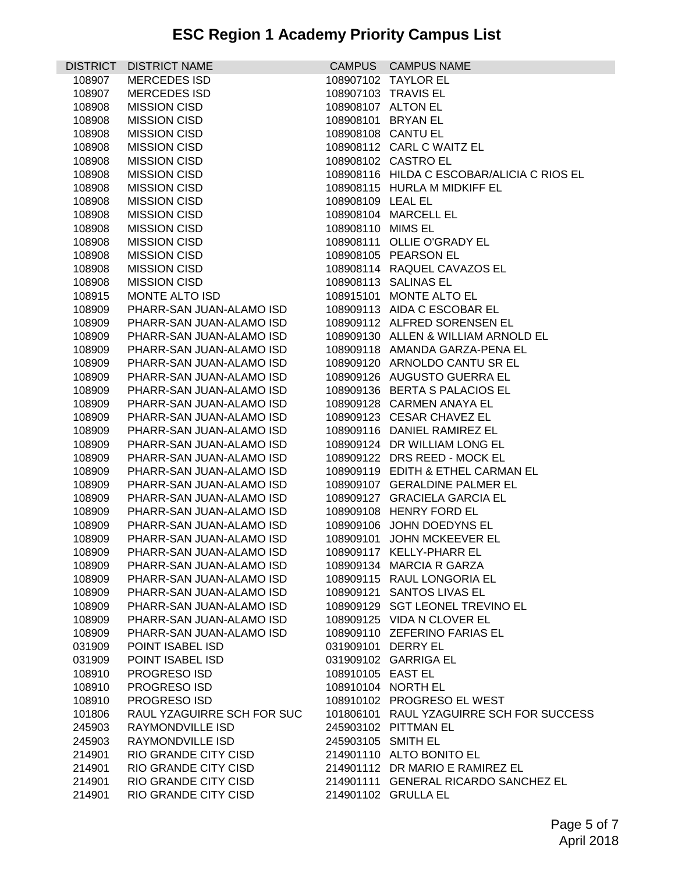| <b>DISTRICT</b> | <b>DISTRICT NAME</b>       |                    | CAMPUS CAMPUS NAME                         |
|-----------------|----------------------------|--------------------|--------------------------------------------|
| 108907          | <b>MERCEDES ISD</b>        |                    | 108907102 TAYLOR EL                        |
| 108907          | <b>MERCEDES ISD</b>        |                    | 108907103 TRAVIS EL                        |
| 108908          | <b>MISSION CISD</b>        |                    | 108908107 ALTON EL                         |
| 108908          | <b>MISSION CISD</b>        |                    | 108908101 BRYAN EL                         |
| 108908          | <b>MISSION CISD</b>        |                    | 108908108 CANTU EL                         |
| 108908          | <b>MISSION CISD</b>        |                    | 108908112 CARL C WAITZ EL                  |
| 108908          | <b>MISSION CISD</b>        |                    | 108908102 CASTRO EL                        |
| 108908          | <b>MISSION CISD</b>        |                    | 108908116 HILDA C ESCOBAR/ALICIA C RIOS EL |
| 108908          | <b>MISSION CISD</b>        |                    | 108908115 HURLA M MIDKIFF EL               |
| 108908          | <b>MISSION CISD</b>        | 108908109 LEAL EL  |                                            |
| 108908          | <b>MISSION CISD</b>        |                    | 108908104 MARCELL EL                       |
| 108908          | <b>MISSION CISD</b>        | 108908110 MIMS EL  |                                            |
| 108908          | <b>MISSION CISD</b>        |                    | 108908111 OLLIE O'GRADY EL                 |
| 108908          | <b>MISSION CISD</b>        |                    | 108908105 PEARSON EL                       |
| 108908          | <b>MISSION CISD</b>        |                    | 108908114 RAQUEL CAVAZOS EL                |
| 108908          | <b>MISSION CISD</b>        |                    | 108908113 SALINAS EL                       |
| 108915          | MONTE ALTO ISD             |                    | 108915101 MONTE ALTO EL                    |
| 108909          | PHARR-SAN JUAN-ALAMO ISD   |                    | 108909113 AIDA C ESCOBAR EL                |
| 108909          | PHARR-SAN JUAN-ALAMO ISD   |                    | 108909112 ALFRED SORENSEN EL               |
| 108909          | PHARR-SAN JUAN-ALAMO ISD   |                    | 108909130 ALLEN & WILLIAM ARNOLD EL        |
| 108909          | PHARR-SAN JUAN-ALAMO ISD   |                    | 108909118 AMANDA GARZA-PENA EL             |
| 108909          | PHARR-SAN JUAN-ALAMO ISD   |                    | 108909120 ARNOLDO CANTU SR EL              |
| 108909          | PHARR-SAN JUAN-ALAMO ISD   |                    | 108909126 AUGUSTO GUERRA EL                |
| 108909          | PHARR-SAN JUAN-ALAMO ISD   |                    | 108909136 BERTA S PALACIOS EL              |
| 108909          | PHARR-SAN JUAN-ALAMO ISD   |                    | 108909128 CARMEN ANAYA EL                  |
| 108909          | PHARR-SAN JUAN-ALAMO ISD   |                    | 108909123 CESAR CHAVEZ EL                  |
| 108909          | PHARR-SAN JUAN-ALAMO ISD   |                    | 108909116 DANIEL RAMIREZ EL                |
| 108909          | PHARR-SAN JUAN-ALAMO ISD   |                    | 108909124 DR WILLIAM LONG EL               |
| 108909          | PHARR-SAN JUAN-ALAMO ISD   |                    | 108909122 DRS REED - MOCK EL               |
| 108909          | PHARR-SAN JUAN-ALAMO ISD   |                    | 108909119 EDITH & ETHEL CARMAN EL          |
| 108909          | PHARR-SAN JUAN-ALAMO ISD   |                    | 108909107 GERALDINE PALMER EL              |
| 108909          | PHARR-SAN JUAN-ALAMO ISD   |                    | 108909127 GRACIELA GARCIA EL               |
| 108909          | PHARR-SAN JUAN-ALAMO ISD   |                    | 108909108 HENRY FORD EL                    |
| 108909          | PHARR-SAN JUAN-ALAMO ISD   |                    | 108909106 JOHN DOEDYNS EL                  |
| 108909          | PHARR-SAN JUAN-ALAMO ISD   |                    | 108909101 JOHN MCKEEVER EL                 |
| 108909          | PHARR-SAN JUAN-ALAMO ISD   |                    | 108909117 KELLY-PHARR EL                   |
| 108909          | PHARR-SAN JUAN-ALAMO ISD   |                    | 108909134 MARCIA R GARZA                   |
| 108909          | PHARR-SAN JUAN-ALAMO ISD   |                    | 108909115 RAUL LONGORIA EL                 |
| 108909          | PHARR-SAN JUAN-ALAMO ISD   |                    | 108909121 SANTOS LIVAS EL                  |
| 108909          | PHARR-SAN JUAN-ALAMO ISD   |                    | 108909129 SGT LEONEL TREVINO EL            |
| 108909          | PHARR-SAN JUAN-ALAMO ISD   |                    | 108909125 VIDA N CLOVER EL                 |
| 108909          | PHARR-SAN JUAN-ALAMO ISD   |                    | 108909110 ZEFERINO FARIAS EL               |
| 031909          | POINT ISABEL ISD           |                    | 031909101 DERRY EL                         |
| 031909          | POINT ISABEL ISD           |                    | 031909102 GARRIGA EL                       |
| 108910          | <b>PROGRESO ISD</b>        | 108910105 EAST EL  |                                            |
| 108910          | PROGRESO ISD               |                    | 108910104 NORTH EL                         |
| 108910          | PROGRESO ISD               |                    | 108910102 PROGRESO EL WEST                 |
| 101806          | RAUL YZAGUIRRE SCH FOR SUC |                    | 101806101 RAUL YZAGUIRRE SCH FOR SUCCESS   |
| 245903          | RAYMONDVILLE ISD           |                    | 245903102 PITTMAN EL                       |
| 245903          | RAYMONDVILLE ISD           | 245903105 SMITH EL |                                            |
| 214901          | RIO GRANDE CITY CISD       |                    | 214901110 ALTO BONITO EL                   |
| 214901          | RIO GRANDE CITY CISD       |                    | 214901112 DR MARIO E RAMIREZ EL            |
| 214901          | RIO GRANDE CITY CISD       |                    | 214901111 GENERAL RICARDO SANCHEZ EL       |
| 214901          | RIO GRANDE CITY CISD       |                    | 214901102 GRULLA EL                        |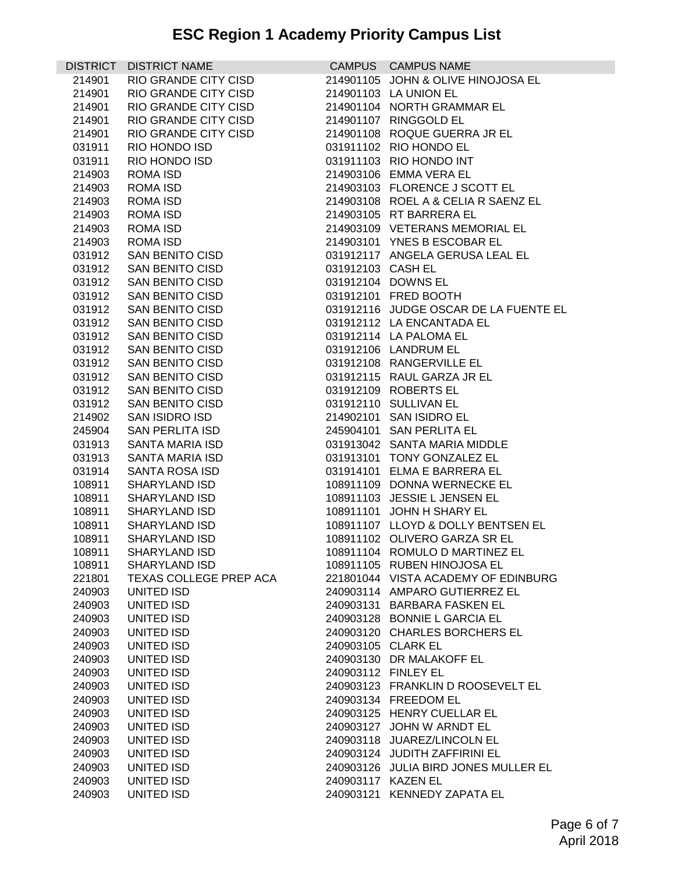## **ESC Region 1 Academy Priority Campus List**

|                  | DISTRICT DISTRICT NAME |                   | CAMPUS CAMPUS NAME                    |
|------------------|------------------------|-------------------|---------------------------------------|
| 214901           | RIO GRANDE CITY CISD   |                   | 214901105 JOHN & OLIVE HINOJOSA EL    |
| 214901           | RIO GRANDE CITY CISD   |                   | 214901103 LA UNION EL                 |
| 214901           | RIO GRANDE CITY CISD   |                   | 214901104 NORTH GRAMMAR EL            |
| 214901           | RIO GRANDE CITY CISD   |                   | 214901107 RINGGOLD EL                 |
| 214901           | RIO GRANDE CITY CISD   |                   | 214901108 ROQUE GUERRA JR EL          |
| 031911           | RIO HONDO ISD          |                   | 031911102 RIO HONDO EL                |
| 031911           | RIO HONDO ISD          |                   | 031911103 RIO HONDO INT               |
| 214903           | ROMA ISD               |                   | 214903106 EMMA VERA EL                |
| 214903           | ROMA ISD               |                   | 214903103 FLORENCE J SCOTT EL         |
| 214903           | ROMA ISD               |                   | 214903108 ROEL A & CELIA R SAENZ EL   |
| 214903           | ROMA ISD               |                   | 214903105 RT BARRERA EL               |
| 214903           | ROMA ISD               |                   | 214903109 VETERANS MEMORIAL EL        |
|                  | ROMA ISD               |                   | 214903101 YNES B ESCOBAR EL           |
| 214903<br>031912 | SAN BENITO CISD        |                   | 031912117 ANGELA GERUSA LEAL EL       |
|                  | SAN BENITO CISD        | 031912103 CASH EL |                                       |
| 031912<br>031912 | SAN BENITO CISD        |                   | 031912104 DOWNS EL                    |
|                  | SAN BENITO CISD        |                   | 031912101 FRED BOOTH                  |
| 031912           |                        |                   |                                       |
| 031912           | SAN BENITO CISD        |                   | 031912116 JUDGE OSCAR DE LA FUENTE EL |
| 031912           | SAN BENITO CISD        |                   | 031912112 LA ENCANTADA EL             |
| 031912           | SAN BENITO CISD        |                   | 031912114 LA PALOMA EL                |
| 031912           | SAN BENITO CISD        |                   | 031912106 LANDRUM EL                  |
| 031912           | SAN BENITO CISD        |                   | 031912108 RANGERVILLE EL              |
| 031912           | SAN BENITO CISD        |                   | 031912115 RAUL GARZA JR EL            |
| 031912           | SAN BENITO CISD        |                   | 031912109 ROBERTS EL                  |
| 031912           | SAN BENITO CISD        |                   | 031912110 SULLIVAN EL                 |
| 214902           | SAN ISIDRO ISD         |                   | 214902101 SAN ISIDRO EL               |
| 245904           | SAN PERLITA ISD        |                   | 245904101 SAN PERLITA EL              |
| 031913           | SANTA MARIA ISD        |                   | 031913042 SANTA MARIA MIDDLE          |
| 031913           | SANTA MARIA ISD        |                   | 031913101 TONY GONZALEZ EL            |
| 031914           | SANTA ROSA ISD         |                   | 031914101 ELMA E BARRERA EL           |
| 108911           | SHARYLAND ISD          |                   | 108911109 DONNA WERNECKE EL           |
| 108911           | SHARYLAND ISD          |                   | 108911103 JESSIE L JENSEN EL          |
| 108911           | SHARYLAND ISD          |                   | 108911101 JOHN H SHARY EL             |
| 108911           | SHARYLAND ISD          |                   | 108911107 LLOYD & DOLLY BENTSEN EL    |
| 108911           | SHARYLAND ISD          |                   | 108911102 OLIVERO GARZA SR EL         |
| 108911           | SHARYLAND ISD          |                   | 108911104 ROMULO D MARTINEZ EL        |
| 108911           | SHARYLAND ISD          |                   | 108911105 RUBEN HINOJOSA EL           |
| 221801           | TEXAS COLLEGE PREP ACA |                   | 221801044 VISTA ACADEMY OF EDINBURG   |
| 240903           | UNITED ISD             |                   | 240903114 AMPARO GUTIERREZ EL         |
| 240903           | UNITED ISD             |                   | 240903131 BARBARA FASKEN EL           |
| 240903           | UNITED ISD             |                   | 240903128 BONNIE L GARCIA EL          |
| 240903           | UNITED ISD             |                   | 240903120 CHARLES BORCHERS EL         |
| 240903           | UNITED ISD             |                   | 240903105 CLARK EL                    |
| 240903           | UNITED ISD             |                   | 240903130 DR MALAKOFF EL              |
| 240903           | UNITED ISD             |                   | 240903112 FINLEY EL                   |
| 240903           | UNITED ISD             |                   | 240903123 FRANKLIN D ROOSEVELT EL     |
| 240903           | UNITED ISD             |                   | 240903134 FREEDOM EL                  |
| 240903           | UNITED ISD             |                   | 240903125 HENRY CUELLAR EL            |
| 240903           | UNITED ISD             |                   | 240903127 JOHN W ARNDT EL             |
| 240903           | UNITED ISD             |                   | 240903118 JUAREZ/LINCOLN EL           |
| 240903           | UNITED ISD             |                   | 240903124 JUDITH ZAFFIRINI EL         |
| 240903           | UNITED ISD             |                   | 240903126 JULIA BIRD JONES MULLER EL  |
| 240903           | UNITED ISD             |                   | 240903117 KAZEN EL                    |
| 240903           | UNITED ISD             |                   | 240903121 KENNEDY ZAPATA EL           |